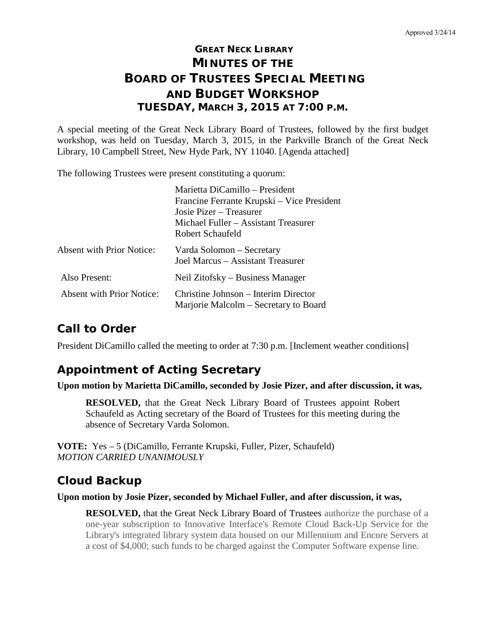# **GREAT NECK LIBRARY MINUTES OF THE BOARD OF TRUSTEES SPECIAL MEETING AND BUDGET WORKSHOP TUESDAY, MARCH 3, 2015 AT 7:00 P.M.**

A special meeting of the Great Neck Library Board of Trustees, followed by the first budget workshop, was held on Tuesday, March 3, 2015, in the Parkville Branch of the Great Neck Library, 10 Campbell Street, New Hyde Park, NY 11040. [Agenda attached]

The following Trustees were present constituting a quorum:

|                                  | Marietta DiCamillo - President                                                |
|----------------------------------|-------------------------------------------------------------------------------|
|                                  | Francine Ferrante Krupski – Vice President                                    |
|                                  | Josie Pizer – Treasurer                                                       |
|                                  | Michael Fuller – Assistant Treasurer                                          |
|                                  | Robert Schaufeld                                                              |
| <b>Absent with Prior Notice:</b> | Varda Solomon – Secretary<br>Joel Marcus - Assistant Treasurer                |
| Also Present:                    | Neil Zitofsky – Business Manager                                              |
| <b>Absent with Prior Notice:</b> | Christine Johnson – Interim Director<br>Marjorie Malcolm – Secretary to Board |

### **Call to Order**

President DiCamillo called the meeting to order at 7:30 p.m. [Inclement weather conditions]

# **Appointment of Acting Secretary**

#### **Upon motion by Marietta DiCamillo, seconded by Josie Pizer, and after discussion, it was,**

**RESOLVED,** that the Great Neck Library Board of Trustees appoint Robert Schaufeld as Acting secretary of the Board of Trustees for this meeting during the absence of Secretary Varda Solomon.

**VOTE:** Yes – 5 (DiCamillo, Ferrante Krupski, Fuller, Pizer, Schaufeld) *MOTION CARRIED UNANIMOUSLY*

# **Cloud Backup**

**Upon motion by Josie Pizer, seconded by Michael Fuller, and after discussion, it was,**

**RESOLVED,** that the Great Neck Library Board of Trustees authorize the purchase of a one-year subscription to Innovative Interface's Remote Cloud Back-Up Service for the Library's integrated library system data housed on our Millennium and Encore Servers at a cost of \$4,000; such funds to be charged against the Computer Software expense line.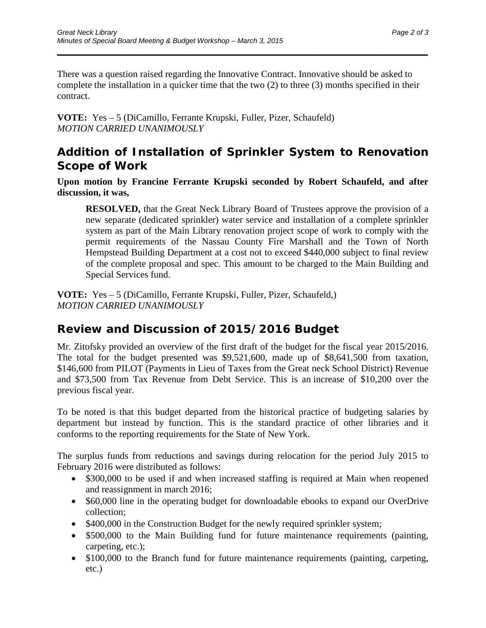There was a question raised regarding the Innovative Contract. Innovative should be asked to complete the installation in a quicker time that the two (2) to three (3) months specified in their contract.

\_\_\_\_\_\_\_\_\_\_\_\_\_\_\_\_\_\_\_\_\_\_\_\_\_\_\_\_\_\_\_\_\_\_\_\_\_\_\_\_\_\_\_\_\_\_\_\_\_\_\_\_\_\_\_\_\_\_\_\_\_\_\_\_\_\_\_\_\_\_

**VOTE:** Yes – 5 (DiCamillo, Ferrante Krupski, Fuller, Pizer, Schaufeld) *MOTION CARRIED UNANIMOUSLY* 

#### **Addition of Installation of Sprinkler System to Renovation Scope of Work**

**Upon motion by Francine Ferrante Krupski seconded by Robert Schaufeld, and after discussion, it was,**

**RESOLVED,** that the Great Neck Library Board of Trustees approve the provision of a new separate (dedicated sprinkler) water service and installation of a complete sprinkler system as part of the Main Library renovation project scope of work to comply with the permit requirements of the Nassau County Fire Marshall and the Town of North Hempstead Building Department at a cost not to exceed \$440,000 subject to final review of the complete proposal and spec. This amount to be charged to the Main Building and Special Services fund.

**VOTE:** Yes – 5 (DiCamillo, Ferrante Krupski, Fuller, Pizer, Schaufeld,) *MOTION CARRIED UNANIMOUSLY*

### **Review and Discussion of 2015/2016 Budget**

Mr. Zitofsky provided an overview of the first draft of the budget for the fiscal year 2015/2016. The total for the budget presented was \$9,521,600, made up of \$8,641,500 from taxation, \$146,600 from PILOT (Payments in Lieu of Taxes from the Great neck School District) Revenue and \$73,500 from Tax Revenue from Debt Service. This is an increase of \$10,200 over the previous fiscal year.

To be noted is that this budget departed from the historical practice of budgeting salaries by department but instead by function. This is the standard practice of other libraries and it conforms to the reporting requirements for the State of New York.

The surplus funds from reductions and savings during relocation for the period July 2015 to February 2016 were distributed as follows:

- \$300,000 to be used if and when increased staffing is required at Main when reopened and reassignment in march 2016;
- \$60,000 line in the operating budget for downloadable ebooks to expand our OverDrive collection;
- \$400,000 in the Construction Budget for the newly required sprinkler system;
- \$500,000 to the Main Building fund for future maintenance requirements (painting, carpeting, etc.);
- \$100,000 to the Branch fund for future maintenance requirements (painting, carpeting, etc.)